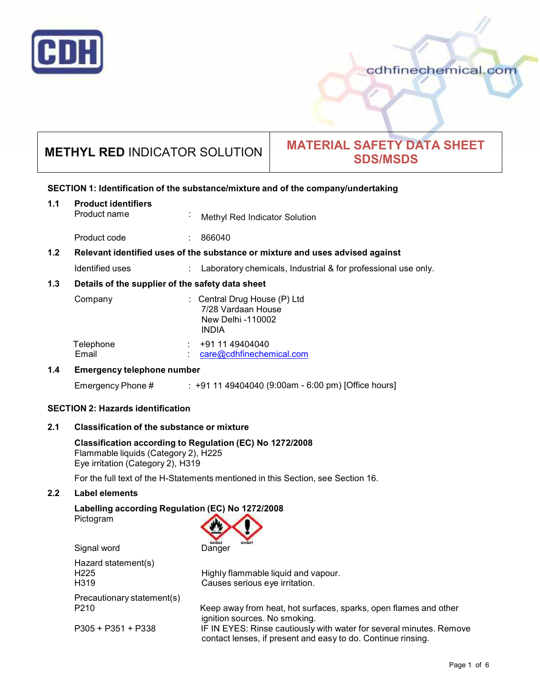

# cdhfinechemical.com

# **METHYL RED** INDICATOR SOLUTION **MATERIAL SAFETY DATA SHEET SDS/MSDS**

# **SECTION 1: Identification of the substance/mixture and of the company/undertaking**

| 1.1                                                                                  | <b>Product identifiers</b><br>Product name       | $\mathbf{r}$ | Methyl Red Indicator Solution                                                    |
|--------------------------------------------------------------------------------------|--------------------------------------------------|--------------|----------------------------------------------------------------------------------|
|                                                                                      | Product code                                     | ÷            | 866040                                                                           |
| 1.2<br>Relevant identified uses of the substance or mixture and uses advised against |                                                  |              |                                                                                  |
|                                                                                      | Identified uses                                  |              | Laboratory chemicals, Industrial & for professional use only.                    |
| 1.3                                                                                  | Details of the supplier of the safety data sheet |              |                                                                                  |
|                                                                                      | Company                                          |              | : Central Drug House (P) Ltd<br>7/28 Vardaan House<br>New Delhi -110002<br>INDIA |
|                                                                                      | Telephone<br>Email                               |              | +91 11 49404040<br>care@cdhfinechemical.com                                      |

# **1.4 Emergency telephone number**

Emergency Phone # : +91 11 49404040 (9:00am - 6:00 pm) [Office hours]

# **SECTION 2: Hazards identification**

# **2.1 Classification of the substance ormixture**

# **Classification according to Regulation (EC) No 1272/2008** Flammable liquids (Category 2), H225 Eye irritation (Category 2), H319

For the full text of the H-Statements mentioned in this Section, see Section 16.

# **2.2 Label elements**

# **Labelling according Regulation (EC) No 1272/2008** Pictogram

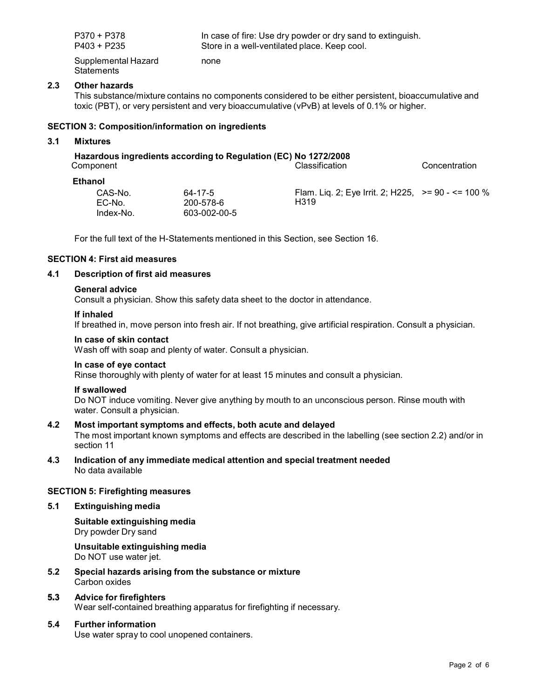| P370 + P378                       | In case of fire: Use dry powder or dry sand to extinguish. |
|-----------------------------------|------------------------------------------------------------|
| P403 + P235                       | Store in a well-ventilated place. Keep cool.               |
| Supplemental Hazard<br>Statements | none                                                       |

# **2.3 Other hazards**

This substance/mixture contains no components considered to be either persistent, bioaccumulative and toxic (PBT), or very persistent and very bioaccumulative (vPvB) at levels of 0.1% or higher.

# **SECTION 3: Composition/information on ingredients**

## **3.1 Mixtures**

**Hazardous ingredients according to Regulation (EC) No 1272/2008** Component Classification Concentration

#### **Ethanol**

| IUI.      |               |                                                         |  |
|-----------|---------------|---------------------------------------------------------|--|
| CAS-No.   | $64 - 17 - 5$ | Flam. Liq. 2; Eye Irrit. 2; H225, $\ge$ = 90 - <= 100 % |  |
| EC-No.    | 200-578-6     | H319                                                    |  |
| Index-No. | 603-002-00-5  |                                                         |  |

For the full text of the H-Statements mentioned in this Section, see Section 16.

# **SECTION 4: First aid measures**

# **4.1 Description of first aid measures**

#### **General advice**

Consult a physician. Show this safety data sheet to the doctor in attendance.

#### **If inhaled**

If breathed in, move person into fresh air. If not breathing, give artificial respiration. Consult a physician.

#### **In case of skin contact**

Wash off with soap and plenty of water. Consult a physician.

#### **In case of eye contact**

Rinse thoroughly with plenty of water for at least 15 minutes and consult a physician.

#### **If swallowed**

Do NOT induce vomiting. Never give anything by mouth to an unconscious person. Rinse mouth with water. Consult a physician.

# **4.2 Most important symptoms and effects, both acute and delayed**

The most important known symptoms and effects are described in the labelling (see section 2.2) and/or in section 11

# **4.3 Indication of any immediate medical attention and special treatment needed** No data available

# **SECTION 5: Firefighting measures**

**5.1 Extinguishing media**

**Suitable extinguishing media** Dry powder Dry sand

# **Unsuitable extinguishing media** Do NOT use water jet.

**5.2 Special hazards arising from the substance ormixture** Carbon oxides

## **5.3 Advice for firefighters** Wear self-contained breathing apparatus for firefighting if necessary.

# **5.4 Further information**

Use water spray to cool unopened containers.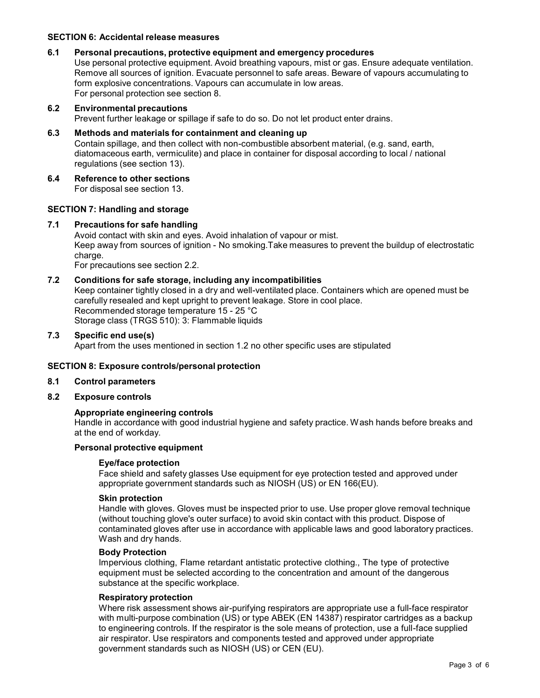## **SECTION 6: Accidental release measures**

### **6.1 Personal precautions, protective equipment and emergency procedures**

Use personal protective equipment. Avoid breathing vapours, mist or gas. Ensure adequate ventilation. Remove all sources of ignition. Evacuate personnel to safe areas. Beware of vapours accumulating to form explosive concentrations. Vapours can accumulate in low areas. For personal protection see section 8.

# **6.2 Environmental precautions**

Prevent further leakage or spillage if safe to do so. Do not let product enter drains.

# **6.3 Methods and materials for containment and cleaning up** Contain spillage, and then collect with non-combustible absorbent material, (e.g. sand, earth, diatomaceous earth, vermiculite) and place in container for disposal according to local/ national regulations (see section 13).

**6.4 Reference to other sections**

For disposal see section 13.

# **SECTION 7: Handling and storage**

# **7.1 Precautions for safe handling**

Avoid contact with skin and eyes. Avoid inhalation of vapour or mist. Keep away from sources of ignition - No smoking.Take measures to prevent the buildup of electrostatic charge.

For precautions see section 2.2.

# **7.2 Conditions for safe storage, including any incompatibilities**

Keep container tightly closed in a dry and well-ventilated place. Containers which are opened must be carefully resealed and kept upright to prevent leakage. Store in cool place. Recommended storage temperature 15 - 25 °C Storage class (TRGS 510): 3: Flammable liquids

# **7.3 Specific end use(s)**

Apart from the uses mentioned in section 1.2 no other specific uses are stipulated

# **SECTION 8: Exposure controls/personal protection**

#### **8.1 Control parameters**

#### **8.2 Exposure controls**

# **Appropriate engineering controls**

Handle in accordance with good industrial hygiene and safety practice. Wash hands before breaks and at the end of workday.

## **Personal protective equipment**

#### **Eye/face protection**

Face shield and safety glasses Use equipment for eye protection tested and approved under appropriate government standards such as NIOSH (US) or EN 166(EU).

#### **Skin protection**

Handle with gloves. Gloves must be inspected prior to use. Use proper glove removal technique (without touching glove's outer surface) to avoid skin contact with this product. Dispose of contaminated gloves after use in accordance with applicable laws and good laboratory practices. Wash and dry hands.

#### **Body Protection**

Impervious clothing, Flame retardant antistatic protective clothing., The type of protective equipment must be selected according to the concentration and amount of the dangerous substance at the specific workplace.

# **Respiratory protection**

Where risk assessment shows air-purifying respirators are appropriate use a full-face respirator with multi-purpose combination (US) or type ABEK (EN 14387) respirator cartridges as a backup to engineering controls. If the respirator is the sole means of protection, use a full-face supplied air respirator. Use respirators and components tested and approved under appropriate government standards such as NIOSH (US) or CEN (EU).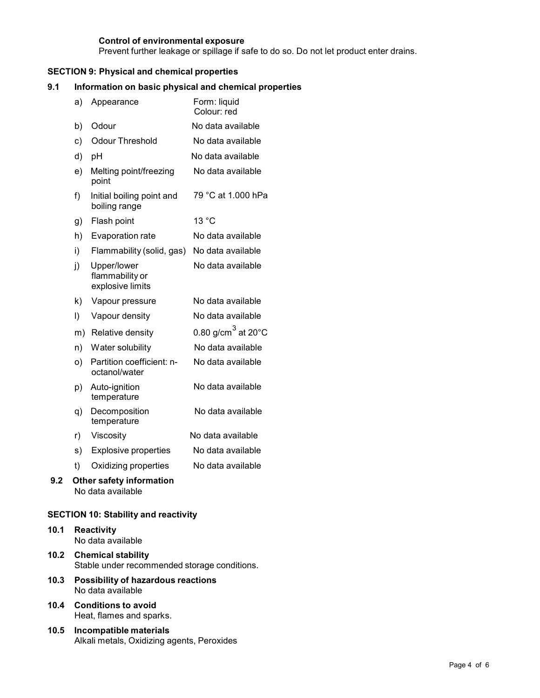#### **Control of environmental exposure**

Prevent further leakage or spillage if safe to do so. Do not let product enter drains.

# **SECTION 9: Physical and chemical properties**

# **9.1 Information on basic physical and chemical properties**

|     | a) | Appearance                                           | Form: liquid<br>Colour: red               |
|-----|----|------------------------------------------------------|-------------------------------------------|
|     | b) | Odour                                                | No data available                         |
|     | c) | <b>Odour Threshold</b>                               | No data available                         |
|     | d) | pH                                                   | No data available                         |
|     | e) | Melting point/freezing<br>point                      | No data available                         |
|     | f) | Initial boiling point and<br>boiling range           | 79 °C at 1.000 hPa                        |
|     | g) | Flash point                                          | 13 °C                                     |
|     | h) | Evaporation rate                                     | No data available                         |
|     | i) | Flammability (solid, gas)                            | No data available                         |
|     | j) | Upper/lower<br>flammability or<br>explosive limits   | No data available                         |
|     | k) | Vapour pressure                                      | No data available                         |
|     | I) | Vapour density                                       | No data available                         |
|     |    | m) Relative density                                  | 0.80 g/cm <sup>3</sup> at 20 $^{\circ}$ C |
|     | n) | Water solubility                                     | No data available                         |
|     | O) | Partition coefficient: n-<br>octanol/water           | No data available                         |
|     | p) | Auto-ignition<br>temperature                         | No data available                         |
|     | q) | Decomposition<br>temperature                         | No data available                         |
|     | r) | Viscosity                                            | No data available                         |
|     | s) | <b>Explosive properties</b>                          | No data available                         |
|     | t) | Oxidizing properties                                 | No data available                         |
| 9.2 |    | <b>Other safety information</b><br>No data available |                                           |

# **SECTION 10: Stability and reactivity**

- **10.1 Reactivity** No data available
- **10.2 Chemical stability** Stable under recommended storage conditions.
- **10.3 Possibility of hazardous reactions** No data available
- **10.4 Conditions to avoid** Heat, flames and sparks.
- **10.5 Incompatible materials** Alkali metals, Oxidizing agents, Peroxides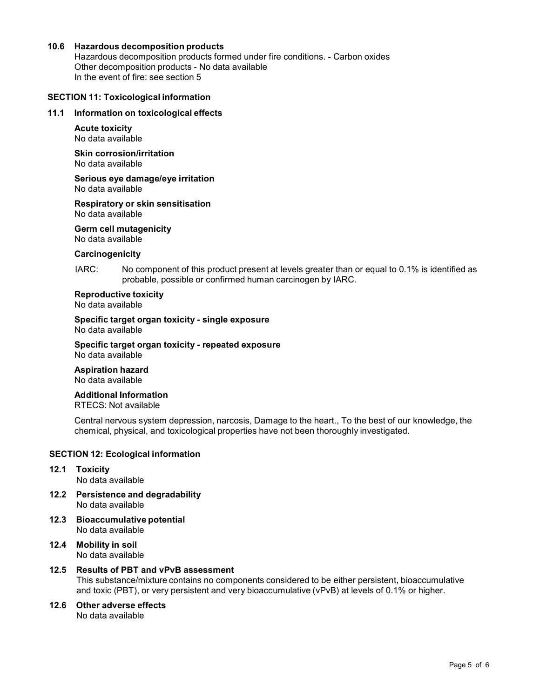# **10.6 Hazardous decomposition products**

Hazardous decomposition products formed under fire conditions. - Carbon oxides Other decomposition products - No data available In the event of fire: see section 5

# **SECTION 11: Toxicological information**

#### **11.1 Information on toxicological effects**

**Acute toxicity** No data available

**Skin corrosion/irritation** No data available

**Serious eye damage/eye irritation** No data available

#### **Respiratory orskin sensitisation** No data available

**Germ cell mutagenicity** No data available

#### **Carcinogenicity**

IARC: No component of this product present at levels greater than or equal to 0.1% is identified as probable, possible or confirmed human carcinogen by IARC.

#### **Reproductive toxicity**

No data available

**Specific target organ toxicity - single exposure** No data available

**Specific target organ toxicity - repeated exposure** No data available

#### **Aspiration hazard**

No data available

#### **Additional Information**

RTECS: Not available

Central nervous system depression, narcosis, Damage to the heart., To the best of our knowledge, the chemical, physical, and toxicological properties have not been thoroughly investigated.

#### **SECTION 12: Ecological information**

**12.1 Toxicity**

No data available

- **12.2 Persistence and degradability** No data available
- **12.3 Bioaccumulative potential** No data available
- **12.4 Mobility in soil** No data available

# **12.5 Results of PBT and vPvB assessment**

This substance/mixture contains no components considered to be either persistent, bioaccumulative and toxic (PBT), or very persistent and very bioaccumulative (vPvB) at levels of 0.1% or higher.

# **12.6 Other adverse effects**

No data available